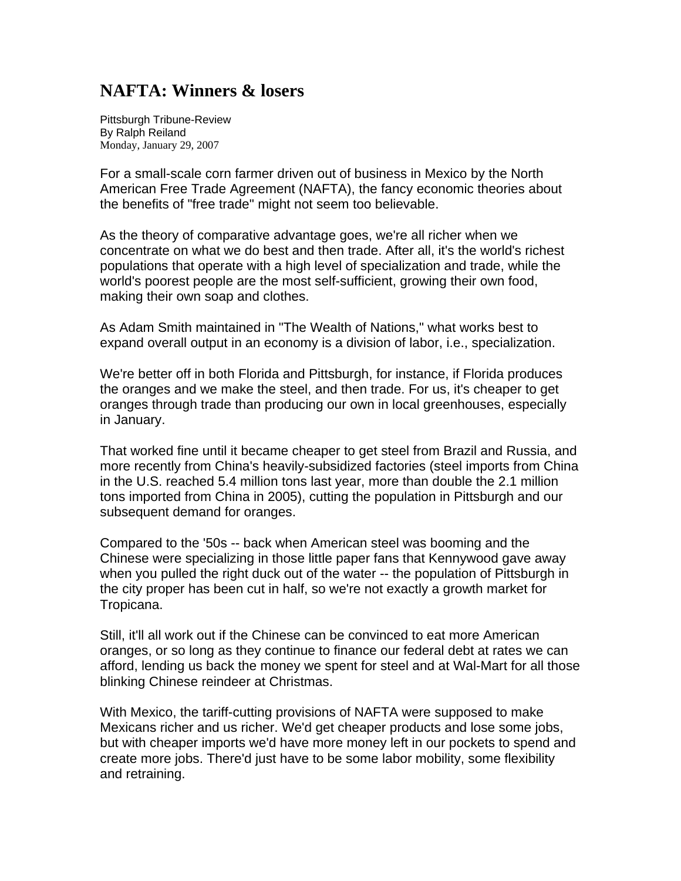## **NAFTA: Winners & losers**

Pittsburgh Tribune-Review By Ralph Reiland Monday, January 29, 2007

For a small-scale corn farmer driven out of business in Mexico by the North American Free Trade Agreement (NAFTA), the fancy economic theories about the benefits of "free trade" might not seem too believable.

As the theory of comparative advantage goes, we're all richer when we concentrate on what we do best and then trade. After all, it's the world's richest populations that operate with a high level of specialization and trade, while the world's poorest people are the most self-sufficient, growing their own food, making their own soap and clothes.

As Adam Smith maintained in "The Wealth of Nations," what works best to expand overall output in an economy is a division of labor, i.e., specialization.

We're better off in both Florida and Pittsburgh, for instance, if Florida produces the oranges and we make the steel, and then trade. For us, it's cheaper to get oranges through trade than producing our own in local greenhouses, especially in January.

That worked fine until it became cheaper to get steel from Brazil and Russia, and more recently from China's heavily-subsidized factories (steel imports from China in the U.S. reached 5.4 million tons last year, more than double the 2.1 million tons imported from China in 2005), cutting the population in Pittsburgh and our subsequent demand for oranges.

Compared to the '50s -- back when American steel was booming and the Chinese were specializing in those little paper fans that Kennywood gave away when you pulled the right duck out of the water -- the population of Pittsburgh in the city proper has been cut in half, so we're not exactly a growth market for Tropicana.

Still, it'll all work out if the Chinese can be convinced to eat more American oranges, or so long as they continue to finance our federal debt at rates we can afford, lending us back the money we spent for steel and at Wal-Mart for all those blinking Chinese reindeer at Christmas.

With Mexico, the tariff-cutting provisions of NAFTA were supposed to make Mexicans richer and us richer. We'd get cheaper products and lose some jobs, but with cheaper imports we'd have more money left in our pockets to spend and create more jobs. There'd just have to be some labor mobility, some flexibility and retraining.